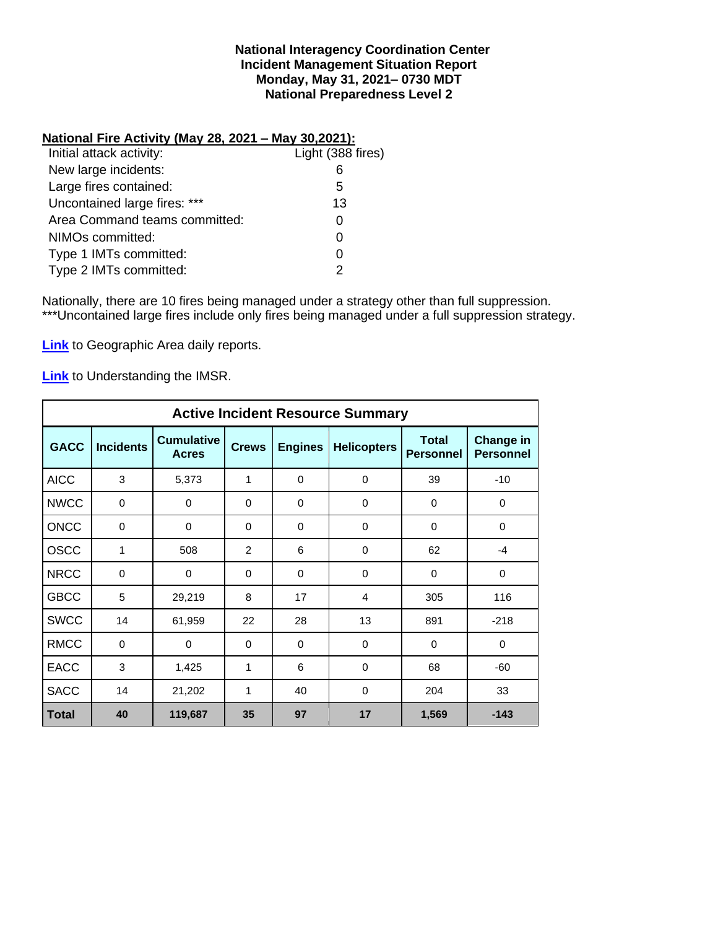### **National Interagency Coordination Center Incident Management Situation Report Monday, May 31, 2021– 0730 MDT National Preparedness Level 2**

### **National Fire Activity (May 28, 2021 – May 30,2021):**

| Initial attack activity:      | Light (388 fires) |
|-------------------------------|-------------------|
| New large incidents:          | 6                 |
| Large fires contained:        | 5                 |
| Uncontained large fires: ***  | 13                |
| Area Command teams committed: |                   |
| NIMOs committed:              | O                 |
| Type 1 IMTs committed:        |                   |
| Type 2 IMTs committed:        |                   |
|                               |                   |

Nationally, there are 10 fires being managed under a strategy other than full suppression. \*\*\*Uncontained large fires include only fires being managed under a full suppression strategy.

**[Link](http://www.nifc.gov/nicc/predictive/statelinks.htm)** to Geographic Area daily reports.

**[Link](https://www.predictiveservices.nifc.gov/intelligence/Understanding%20the%20IMSR%202019.pdf)** to Understanding the IMSR.

|              |                  |                                   |              |                | <b>Active Incident Resource Summary</b> |                                  |                               |
|--------------|------------------|-----------------------------------|--------------|----------------|-----------------------------------------|----------------------------------|-------------------------------|
| <b>GACC</b>  | <b>Incidents</b> | <b>Cumulative</b><br><b>Acres</b> | <b>Crews</b> | <b>Engines</b> | <b>Helicopters</b>                      | <b>Total</b><br><b>Personnel</b> | Change in<br><b>Personnel</b> |
| <b>AICC</b>  | 3                | 5,373                             | 1            | $\Omega$       | $\mathbf 0$                             | 39                               | $-10$                         |
| <b>NWCC</b>  | 0                | $\mathbf 0$                       | 0            | 0              | $\mathbf 0$                             | $\mathbf 0$                      | 0                             |
| <b>ONCC</b>  | 0                | 0                                 | $\Omega$     | $\Omega$       | 0                                       | $\Omega$                         | 0                             |
| <b>OSCC</b>  | 1                | 508                               | 2            | 6              | 0                                       | 62                               | $-4$                          |
| <b>NRCC</b>  | 0                | 0                                 | $\Omega$     | $\Omega$       | $\mathbf 0$                             | 0                                | 0                             |
| <b>GBCC</b>  | 5                | 29,219                            | 8            | 17             | 4                                       | 305                              | 116                           |
| <b>SWCC</b>  | 14               | 61,959                            | 22           | 28             | 13                                      | 891                              | $-218$                        |
| <b>RMCC</b>  | $\mathbf 0$      | $\mathbf 0$                       | $\mathbf 0$  | $\mathbf 0$    | $\mathbf 0$                             | $\mathbf 0$                      | 0                             |
| <b>EACC</b>  | 3                | 1,425                             | 1            | 6              | 0                                       | 68                               | $-60$                         |
| <b>SACC</b>  | 14               | 21,202                            | 1            | 40             | 0                                       | 204                              | 33                            |
| <b>Total</b> | 40               | 119,687                           | 35           | 97             | 17                                      | 1,569                            | $-143$                        |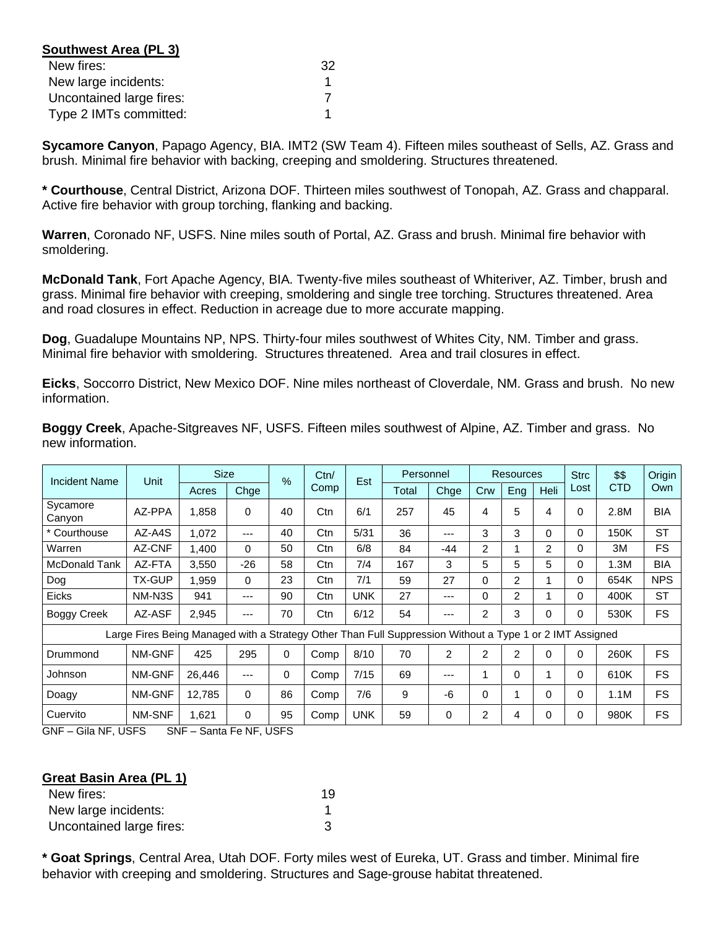| Southwest Area (PL 3)    |    |
|--------------------------|----|
| New fires:               | 32 |
| New large incidents:     |    |
| Uncontained large fires: |    |
| Type 2 IMTs committed:   |    |

**Sycamore Canyon**, Papago Agency, BIA. IMT2 (SW Team 4). Fifteen miles southeast of Sells, AZ. Grass and brush. Minimal fire behavior with backing, creeping and smoldering. Structures threatened.

**\* Courthouse**, Central District, Arizona DOF. Thirteen miles southwest of Tonopah, AZ. Grass and chapparal. Active fire behavior with group torching, flanking and backing.

**Warren**, Coronado NF, USFS. Nine miles south of Portal, AZ. Grass and brush. Minimal fire behavior with smoldering.

**McDonald Tank**, Fort Apache Agency, BIA. Twenty-five miles southeast of Whiteriver, AZ. Timber, brush and grass. Minimal fire behavior with creeping, smoldering and single tree torching. Structures threatened. Area and road closures in effect. Reduction in acreage due to more accurate mapping.

**Dog**, Guadalupe Mountains NP, NPS. Thirty-four miles southwest of Whites City, NM. Timber and grass. Minimal fire behavior with smoldering. Structures threatened. Area and trail closures in effect.

**Eicks**, Soccorro District, New Mexico DOF. Nine miles northeast of Cloverdale, NM. Grass and brush. No new information.

| Incident Name      | Unit                                                                                                     | <b>Size</b> |       | $\frac{9}{6}$ | Ctn/ | Est        | Personnel |      |                | <b>Resources</b> |                | <b>Strc</b> | \$\$       | Origin     |
|--------------------|----------------------------------------------------------------------------------------------------------|-------------|-------|---------------|------|------------|-----------|------|----------------|------------------|----------------|-------------|------------|------------|
|                    |                                                                                                          | Acres       | Chge  |               | Comp |            | Total     | Chge | Crw            | Eng              | <b>Heli</b>    | Lost        | <b>CTD</b> | Own        |
| Sycamore<br>Canyon | AZ-PPA                                                                                                   | 1,858       | 0     | 40            | Ctn  | 6/1        | 257       | 45   | 4              | 5                | 4              | 0           | 2.8M       | <b>BIA</b> |
| * Courthouse       | AZ-A4S                                                                                                   | 1,072       | ---   | 40            | Ctn  | 5/31       | 36        | ---  | 3              | 3                | 0              | 0           | 150K       | ST         |
| Warren             | AZ-CNF                                                                                                   | 1,400       | 0     | 50            | Ctn  | 6/8        | 84        | -44  | $\overline{2}$ | 4                | $\overline{2}$ | 0           | 3M         | FS.        |
| McDonald Tank      | AZ-FTA                                                                                                   | 3,550       | $-26$ | 58            | Ctn  | 7/4        | 167       | 3    | 5              | 5                | 5              | 0           | 1.3M       | <b>BIA</b> |
| Dog                | <b>TX-GUP</b>                                                                                            | 1,959       | 0     | 23            | Ctn  | 7/1        | 59        | 27   | 0              | 2                |                | 0           | 654K       | <b>NPS</b> |
| <b>Eicks</b>       | NM-N3S                                                                                                   | 941         | ---   | 90            | Ctn  | <b>UNK</b> | 27        | ---  | 0              | $\overline{2}$   |                | 0           | 400K       | <b>ST</b>  |
| <b>Boggy Creek</b> | AZ-ASF                                                                                                   | 2,945       | ---   | 70            | Ctn  | 6/12       | 54        | ---  | 2              | 3                | 0              | 0           | 530K       | FS.        |
|                    | Large Fires Being Managed with a Strategy Other Than Full Suppression Without a Type 1 or 2 IMT Assigned |             |       |               |      |            |           |      |                |                  |                |             |            |            |
| Drummond           | NM-GNF                                                                                                   | 425         | 295   | $\Omega$      | Comp | 8/10       | 70        | 2    | $\overline{2}$ | 2                | $\Omega$       | 0           | 260K       | FS.        |
| Johnson            | NM-GNF                                                                                                   | 26,446      | ---   | $\Omega$      | Comp | 7/15       | 69        | ---  |                | $\Omega$         |                | 0           | 610K       | <b>FS</b>  |
| Doagy              | NM-GNF                                                                                                   | 12,785      | 0     | 86            | Comp | 7/6        | 9         | -6   | 0              | 1                | 0              | 0           | 1.1M       | <b>FS</b>  |
| Cuervito           | NM-SNF                                                                                                   | 1,621       | 0     | 95            | Comp | <b>UNK</b> | 59        | 0    | 2              | 4                | 0              | 0           | 980K       | <b>FS</b>  |

**Boggy Creek**, Apache-Sitgreaves NF, USFS. Fifteen miles southwest of Alpine, AZ. Timber and grass. No new information.

GNF – Gila NF, USFS SNF – Santa Fe NF, USFS

#### **Great Basin Area (PL 1)**

| New fires:               | 19 |
|--------------------------|----|
| New large incidents:     |    |
| Uncontained large fires: |    |

**\* Goat Springs**, Central Area, Utah DOF. Forty miles west of Eureka, UT. Grass and timber. Minimal fire behavior with creeping and smoldering. Structures and Sage-grouse habitat threatened.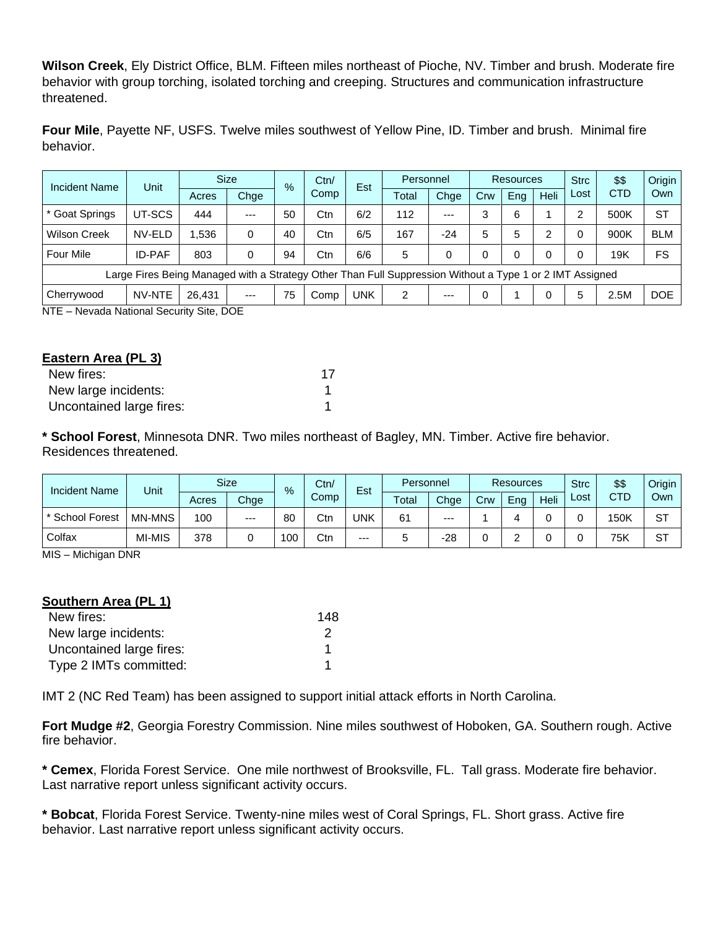**Wilson Creek**, Ely District Office, BLM. Fifteen miles northeast of Pioche, NV. Timber and brush. Moderate fire behavior with group torching, isolated torching and creeping. Structures and communication infrastructure threatened.

**Four Mile**, Payette NF, USFS. Twelve miles southwest of Yellow Pine, ID. Timber and brush. Minimal fire behavior.

| <b>Incident Name</b>                    | Unit                                                                                                     | <b>Size</b> |       | $\%$ | Ctn/ | Est        | Personnel |       | <b>Resources</b> |     |      | <b>Strc</b> | \$\$       | Origin     |
|-----------------------------------------|----------------------------------------------------------------------------------------------------------|-------------|-------|------|------|------------|-----------|-------|------------------|-----|------|-------------|------------|------------|
|                                         |                                                                                                          | Acres       | Chge  |      | Comp |            | Total     | Chge  | Crw              | Ena | Heli | Lost        | <b>CTD</b> | Own        |
| * Goat Springs                          | UT-SCS                                                                                                   | 444         | $---$ | 50   | Ctn  | 6/2        | 112       | $--$  | 3                | 6   |      | ⌒           | 500K       | <b>ST</b>  |
| <b>Wilson Creek</b>                     | NV-ELD                                                                                                   | 1.536       | 0     | 40   | Ctn  | 6/5        | 167       | $-24$ | 5                | 5   | າ    |             | 900K       | <b>BLM</b> |
| <b>Four Mile</b>                        | <b>ID-PAF</b>                                                                                            | 803         | 0     | 94   | Ctn  | 6/6        | 5         | 0     |                  | 0   | 0    |             | 19K        | FS         |
|                                         | Large Fires Being Managed with a Strategy Other Than Full Suppression Without a Type 1 or 2 IMT Assigned |             |       |      |      |            |           |       |                  |     |      |             |            |            |
| Cherrywood                              | NV-NTE                                                                                                   | 26.431      | $---$ | 75   | Comp | <b>UNK</b> | 2         | $--$  | $\Omega$         |     | 0    | 5           | 2.5M       | <b>DOE</b> |
| NTE - Nevada National Security Site DOE |                                                                                                          |             |       |      |      |            |           |       |                  |     |      |             |            |            |

NTE – Nevada National Security Site, DOE

| Eastern Area (PL 3)      |    |
|--------------------------|----|
| New fires:               | 17 |
| New large incidents:     |    |
| Uncontained large fires: |    |

**\* School Forest**, Minnesota DNR. Two miles northeast of Bagley, MN. Timber. Active fire behavior. Residences threatened.

| <b>Incident Name</b> | Unit   |       | <b>Size</b> | $\%$ | Ctn/<br>Est |       | Personnel |       | <b>Resources</b> |     |      | <b>Strc</b> | \$\$       | Origin |
|----------------------|--------|-------|-------------|------|-------------|-------|-----------|-------|------------------|-----|------|-------------|------------|--------|
|                      |        | Acres | Chge        |      | Comp        |       | Total     | Chge  | Crw              | Eng | Heli | ∟ost        | <b>CTD</b> | Own    |
| * School Forest      | MN-MNS | 100   | $---$       | 80   | Ctn         | UNK   | 61        | $---$ |                  |     |      |             | 150K       | ST     |
| Colfax               | MI-MIS | 378   |             | 100  | Ctn         | $---$ | ູ         | $-28$ |                  |     |      |             | 75K        | ST     |

MIS – Michigan DNR

## **Southern Area (PL 1)**

| New fires:               | 148 |
|--------------------------|-----|
| New large incidents:     |     |
| Uncontained large fires: |     |
| Type 2 IMTs committed:   |     |

IMT 2 (NC Red Team) has been assigned to support initial attack efforts in North Carolina.

**Fort Mudge #2**, Georgia Forestry Commission. Nine miles southwest of Hoboken, GA. Southern rough. Active fire behavior.

**\* Cemex**, Florida Forest Service. One mile northwest of Brooksville, FL. Tall grass. Moderate fire behavior. Last narrative report unless significant activity occurs.

**\* Bobcat**, Florida Forest Service. Twenty-nine miles west of Coral Springs, FL. Short grass. Active fire behavior. Last narrative report unless significant activity occurs.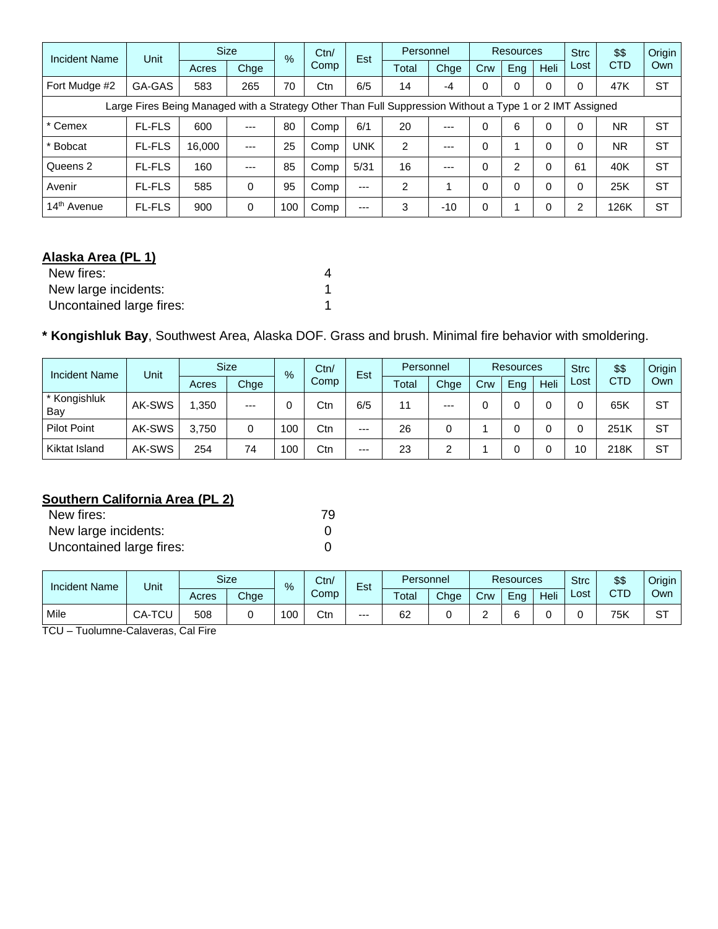| Incident Name                                                                                            | Unit          | <b>Size</b> |          | $\%$ | Ctn/<br>Comp | Est   | Personnel      |       |     | <b>Resources</b> |             | <b>Strc</b> | \$\$       | Origin    |
|----------------------------------------------------------------------------------------------------------|---------------|-------------|----------|------|--------------|-------|----------------|-------|-----|------------------|-------------|-------------|------------|-----------|
|                                                                                                          |               | Acres       | Chge     |      |              |       | Total          | Chge  | Crw | Eng              | <b>Heli</b> | Lost        | <b>CTD</b> | Own       |
| Fort Mudge #2                                                                                            | GA-GAS        | 583         | 265      | 70   | Ctn          | 6/5   | 14             | -4    | 0   | 0                | $\Omega$    | 0           | 47K        | <b>ST</b> |
| Large Fires Being Managed with a Strategy Other Than Full Suppression Without a Type 1 or 2 IMT Assigned |               |             |          |      |              |       |                |       |     |                  |             |             |            |           |
| * Cemex                                                                                                  | <b>FL-FLS</b> | 600         | $---$    | 80   | Comp         | 6/1   | 20             | $---$ |     | 6                | $\Omega$    | ი           | <b>NR</b>  | <b>ST</b> |
| * Bobcat                                                                                                 | <b>FL-FLS</b> | 16,000      | $---$    | 25   | Comp         | UNK   | $\overline{2}$ | $--$  | 0   | 4                | $\Omega$    |             | <b>NR</b>  | <b>ST</b> |
| Queens 2                                                                                                 | <b>FL-FLS</b> | 160         | $---$    | 85   | Comp         | 5/31  | 16             | $---$ |     | 2                | $\Omega$    | 61          | 40K        | <b>ST</b> |
| Avenir                                                                                                   | <b>FL-FLS</b> | 585         | $\Omega$ | 95   | Comp         | $---$ | $\overline{2}$ |       |     | 0                | $\Omega$    | 0           | 25K        | <b>ST</b> |
| 14 <sup>th</sup> Avenue                                                                                  | <b>FL-FLS</b> | 900         | $\Omega$ | 100  | Comp         | ---   | 3              | $-10$ | 0   |                  | $\Omega$    | ົ           | 126K       | <b>ST</b> |

# **Alaska Area (PL 1)**

| New fires:               |  |
|--------------------------|--|
| New large incidents:     |  |
| Uncontained large fires: |  |

# **\* Kongishluk Bay**, Southwest Area, Alaska DOF. Grass and brush. Minimal fire behavior with smoldering.

| <b>Incident Name</b> | Unit   |       | <b>Size</b> |     | Ctn/<br>$\%$ |       | Personnel |       | Resources |     |      | <b>Strc</b> | \$\$ | Origin    |
|----------------------|--------|-------|-------------|-----|--------------|-------|-----------|-------|-----------|-----|------|-------------|------|-----------|
|                      |        | Acres | Chge        |     | Comp         | Est   | Total     | Chge  | Crw       | Eng | Heli | Lost        | CTD  | Own       |
| * Kongishluk<br>Bay  | AK-SWS | .350  | $---$       |     | Ctn          | 6/5   | 11        | $---$ |           |     |      |             | 65K  | <b>ST</b> |
| <b>Pilot Point</b>   | AK-SWS | 3.750 | 0           | 100 | Ctn          | $---$ | 26        | 0     |           |     |      |             | 251K | ST        |
| Kiktat Island        | AK-SWS | 254   | 74          | 100 | Ctn          | $---$ | 23        | ົ     |           |     |      | 10          | 218K | <b>ST</b> |

# **Southern California Area (PL 2)**

| New fires:               | 79 |
|--------------------------|----|
| New large incidents:     |    |
| Uncontained large fires: |    |

| Incident Name | Unit                                       | Size<br>Personnel<br>Ctn/<br>-<br>%<br>Est | <b>Resources</b> |     |      | <b>Strc</b> | \$\$  | Origin |     |     |      |      |     |           |
|---------------|--------------------------------------------|--------------------------------------------|------------------|-----|------|-------------|-------|--------|-----|-----|------|------|-----|-----------|
|               |                                            | Acres                                      | Chge             |     | Comp |             | Total | Chge   | Crw | Ena | Heli | Lost | CTD | Own       |
| Mile          | $T^{\wedge}$<br>$\sim$ $\sim$<br>UA-<br>◡└ | 508                                        |                  | 100 | Ctn  | $--$        | 62    |        | -   |     |      |      | 75K | oт<br>ا ت |

TCU – Tuolumne-Calaveras, Cal Fire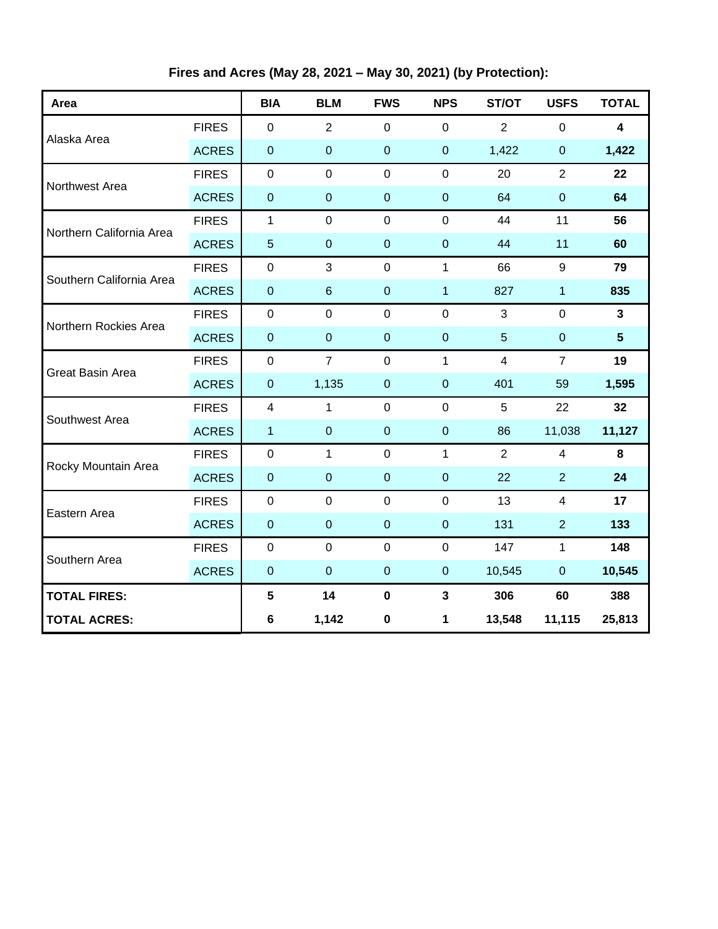**Fires and Acres (May 28, 2021 – May 30, 2021) (by Protection):**

| Area                     |              | <b>BIA</b>              | <b>BLM</b>       | <b>FWS</b>     | <b>NPS</b>       | ST/OT           | <b>USFS</b>             | <b>TOTAL</b>            |
|--------------------------|--------------|-------------------------|------------------|----------------|------------------|-----------------|-------------------------|-------------------------|
|                          | <b>FIRES</b> | $\mathbf 0$             | $\overline{2}$   | $\mathbf 0$    | $\mathbf 0$      | $\overline{2}$  | $\mathbf 0$             | 4                       |
| Alaska Area              | <b>ACRES</b> | $\boldsymbol{0}$        | $\mathbf 0$      | $\mathbf 0$    | $\mathbf 0$      | 1,422           | $\boldsymbol{0}$        | 1,422                   |
| Northwest Area           | <b>FIRES</b> | $\mathbf 0$             | $\overline{0}$   | $\overline{0}$ | $\overline{0}$   | 20              | $\overline{2}$          | 22                      |
|                          | <b>ACRES</b> | $\mathbf 0$             | $\mathbf 0$      | $\overline{0}$ | $\overline{0}$   | 64              | $\mathbf 0$             | 64                      |
| Northern California Area | <b>FIRES</b> | $\mathbf{1}$            | $\mathbf 0$      | $\mathbf 0$    | $\mathbf 0$      | 44              | 11                      | 56                      |
|                          | <b>ACRES</b> | $\overline{5}$          | $\boldsymbol{0}$ | $\mathbf 0$    | $\overline{0}$   | 44              | 11                      | 60                      |
| Southern California Area | <b>FIRES</b> | $\mathbf 0$             | 3                | $\mathbf 0$    | $\mathbf{1}$     | 66              | 9                       | 79                      |
|                          | <b>ACRES</b> | $\boldsymbol{0}$        | $\,6\,$          | $\mathbf 0$    | 1                | 827             | $\mathbf{1}$            | 835                     |
| Northern Rockies Area    | <b>FIRES</b> | $\mathbf 0$             | $\mathbf 0$      | $\mathbf 0$    | $\overline{0}$   | 3               | $\mathbf 0$             | $\overline{\mathbf{3}}$ |
|                          | <b>ACRES</b> | $\pmb{0}$               | $\boldsymbol{0}$ | $\mathbf 0$    | $\overline{0}$   | $5\phantom{.0}$ | $\mathbf 0$             | $5\phantom{.0}$         |
| <b>Great Basin Area</b>  | <b>FIRES</b> | $\boldsymbol{0}$        | $\overline{7}$   | $\mathbf 0$    | $\mathbf{1}$     | $\overline{4}$  | $\overline{7}$          | 19                      |
|                          | <b>ACRES</b> | $\pmb{0}$               | 1,135            | $\overline{0}$ | $\mathbf 0$      | 401             | 59                      | 1,595                   |
| Southwest Area           | <b>FIRES</b> | $\overline{\mathbf{4}}$ | $\mathbf{1}$     | $\mathbf 0$    | $\mathbf 0$      | 5               | 22                      | 32                      |
|                          | <b>ACRES</b> | 1                       | $\mathbf 0$      | $\mathbf 0$    | $\boldsymbol{0}$ | 86              | 11,038                  | 11,127                  |
| Rocky Mountain Area      | <b>FIRES</b> | $\boldsymbol{0}$        | $\mathbf{1}$     | $\mathbf 0$    | $\mathbf{1}$     | $\overline{2}$  | 4                       | 8                       |
|                          | <b>ACRES</b> | $\pmb{0}$               | $\boldsymbol{0}$ | $\mathbf 0$    | $\mathbf 0$      | 22              | $\overline{2}$          | 24                      |
| Eastern Area             | <b>FIRES</b> | $\pmb{0}$               | $\mathbf 0$      | $\mathbf 0$    | $\mathbf 0$      | 13              | $\overline{\mathbf{4}}$ | 17                      |
|                          | <b>ACRES</b> | $\pmb{0}$               | $\boldsymbol{0}$ | $\mathbf 0$    | $\boldsymbol{0}$ | 131             | $\overline{2}$          | 133                     |
| Southern Area            | <b>FIRES</b> | $\pmb{0}$               | $\mathbf 0$      | $\mathbf 0$    | $\mathbf 0$      | 147             | $\mathbf{1}$            | 148                     |
|                          | <b>ACRES</b> | $\pmb{0}$               | $\boldsymbol{0}$ | $\mathbf 0$    | $\mathbf 0$      | 10,545          | $\pmb{0}$               | 10,545                  |
| <b>TOTAL FIRES:</b>      |              | $5\phantom{.0}$         | 14               | $\pmb{0}$      | $\mathbf{3}$     | 306             | 60                      | 388                     |
| <b>TOTAL ACRES:</b>      |              | 6                       | 1,142            | $\pmb{0}$      | 1                | 13,548          | 11,115                  | 25,813                  |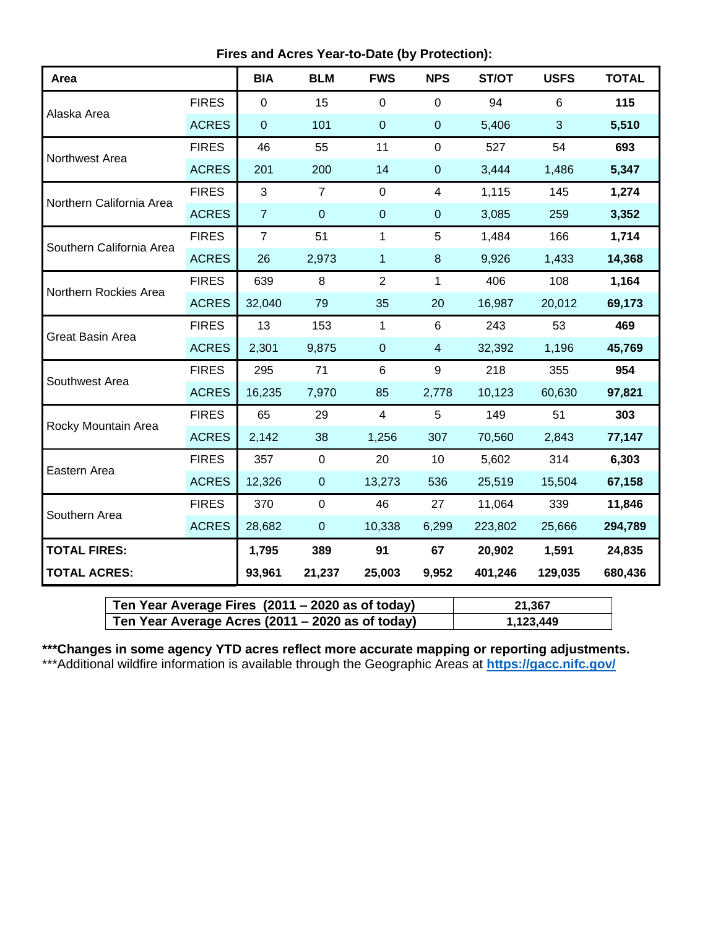**Fires and Acres Year-to-Date (by Protection):**

| Area                     |              | <b>BIA</b>     | <b>BLM</b>     | <b>FWS</b>     | <b>NPS</b>     | ST/OT   | <b>USFS</b>    | <b>TOTAL</b> |
|--------------------------|--------------|----------------|----------------|----------------|----------------|---------|----------------|--------------|
|                          | <b>FIRES</b> | $\mathbf 0$    | 15             | 0              | $\mathbf 0$    | 94      | $6\phantom{1}$ | 115          |
| Alaska Area              | <b>ACRES</b> | $\mathbf 0$    | 101            | $\pmb{0}$      | $\pmb{0}$      | 5,406   | 3              | 5,510        |
| Northwest Area           | <b>FIRES</b> | 46             | 55             | 11             | $\mathbf 0$    | 527     | 54             | 693          |
|                          | <b>ACRES</b> | 201            | 200            | 14             | $\pmb{0}$      | 3,444   | 1,486          | 5,347        |
| Northern California Area | <b>FIRES</b> | 3              | $\overline{7}$ | 0              | 4              | 1,115   | 145            | 1,274        |
|                          | <b>ACRES</b> | $\overline{7}$ | $\mathbf 0$    | $\overline{0}$ | $\pmb{0}$      | 3,085   | 259            | 3,352        |
| Southern California Area | <b>FIRES</b> | $\overline{7}$ | 51             | 1              | 5              | 1,484   | 166            | 1,714        |
|                          | <b>ACRES</b> | 26             | 2,973          | 1              | $\bf 8$        | 9,926   | 1,433          | 14,368       |
| Northern Rockies Area    | <b>FIRES</b> | 639            | 8              | $\overline{2}$ | $\mathbf 1$    | 406     | 108            | 1,164        |
|                          | <b>ACRES</b> | 32,040         | 79             | 35             | 20             | 16,987  | 20,012         | 69,173       |
| <b>Great Basin Area</b>  | <b>FIRES</b> | 13             | 153            | $\mathbf{1}$   | 6              | 243     | 53             | 469          |
|                          | <b>ACRES</b> | 2,301          | 9,875          | $\mathbf 0$    | $\overline{4}$ | 32,392  | 1,196          | 45,769       |
| Southwest Area           | <b>FIRES</b> | 295            | 71             | 6              | 9              | 218     | 355            | 954          |
|                          | <b>ACRES</b> | 16,235         | 7,970          | 85             | 2,778          | 10,123  | 60,630         | 97,821       |
| Rocky Mountain Area      | <b>FIRES</b> | 65             | 29             | 4              | 5              | 149     | 51             | 303          |
|                          | <b>ACRES</b> | 2,142          | 38             | 1,256          | 307            | 70,560  | 2,843          | 77,147       |
| Eastern Area             | <b>FIRES</b> | 357            | $\mathbf 0$    | 20             | 10             | 5,602   | 314            | 6,303        |
|                          | <b>ACRES</b> | 12,326         | $\mathbf{0}$   | 13,273         | 536            | 25,519  | 15,504         | 67,158       |
| Southern Area            | <b>FIRES</b> | 370            | $\mathbf 0$    | 46             | 27             | 11,064  | 339            | 11,846       |
|                          | <b>ACRES</b> | 28,682         | $\pmb{0}$      | 10,338         | 6,299          | 223,802 | 25,666         | 294,789      |
| <b>TOTAL FIRES:</b>      |              | 1,795          | 389            | 91             | 67             | 20,902  | 1,591          | 24,835       |
| <b>TOTAL ACRES:</b>      |              | 93,961         | 21,237         | 25,003         | 9,952          | 401,246 | 129,035        | 680,436      |

| Ten Year Average Fires $(2011 - 2020$ as of today) | 21.367    |
|----------------------------------------------------|-----------|
| Ten Year Average Acres (2011 – 2020 as of today)   | 1,123,449 |

**\*\*\*Changes in some agency YTD acres reflect more accurate mapping or reporting adjustments.** \*\*\*Additional wildfire information is available through the Geographic Areas at **<https://gacc.nifc.gov/>**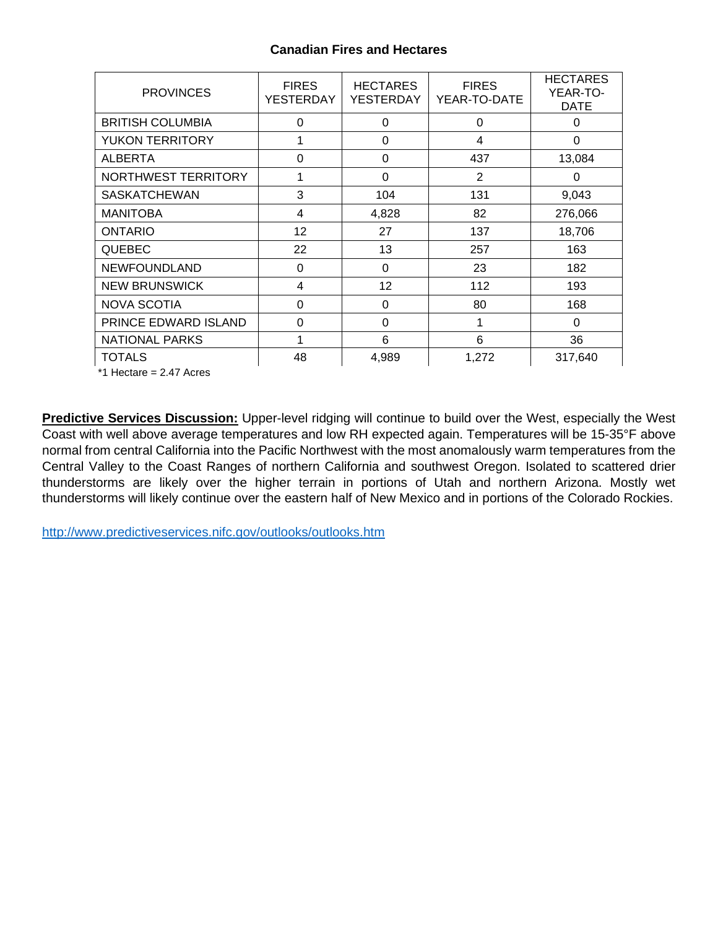## **Canadian Fires and Hectares**

| <b>PROVINCES</b>        | <b>FIRES</b><br>YESTERDAY | <b>HECTARES</b><br><b>YESTERDAY</b> | <b>FIRES</b><br>YEAR-TO-DATE | <b>HECTARES</b><br>YEAR-TO-<br><b>DATE</b> |
|-------------------------|---------------------------|-------------------------------------|------------------------------|--------------------------------------------|
| <b>BRITISH COLUMBIA</b> | $\Omega$                  | 0                                   | $\Omega$                     | $\Omega$                                   |
| <b>YUKON TERRITORY</b>  |                           | 0                                   | 4                            | 0                                          |
| <b>ALBERTA</b>          | $\Omega$                  | $\Omega$                            | 437                          | 13,084                                     |
| NORTHWEST TERRITORY     | 1                         | 0                                   | 2                            | $\Omega$                                   |
| <b>SASKATCHEWAN</b>     | 3                         | 104                                 | 131                          | 9,043                                      |
| <b>MANITOBA</b>         | 4                         | 4,828                               | 82                           | 276,066                                    |
| <b>ONTARIO</b>          | 12                        | 27                                  | 137                          | 18,706                                     |
| <b>QUEBEC</b>           | 22                        | 13                                  | 257                          | 163                                        |
| <b>NEWFOUNDLAND</b>     | 0                         | 0                                   | 23                           | 182                                        |
| <b>NEW BRUNSWICK</b>    | 4                         | 12 <sup>2</sup>                     | 112                          | 193                                        |
| <b>NOVA SCOTIA</b>      | $\Omega$                  | 0                                   | 80                           | 168                                        |
| PRINCE EDWARD ISLAND    | 0                         | $\Omega$                            | 1                            | 0                                          |
| <b>NATIONAL PARKS</b>   |                           | 6                                   | 6                            | 36                                         |
| <b>TOTALS</b>           | 48                        | 4,989                               | 1,272                        | 317,640                                    |

\*1 Hectare = 2.47 Acres

**Predictive Services Discussion:** Upper-level ridging will continue to build over the West, especially the West Coast with well above average temperatures and low RH expected again. Temperatures will be 15-35°F above normal from central California into the Pacific Northwest with the most anomalously warm temperatures from the Central Valley to the Coast Ranges of northern California and southwest Oregon. Isolated to scattered drier thunderstorms are likely over the higher terrain in portions of Utah and northern Arizona. Mostly wet thunderstorms will likely continue over the eastern half of New Mexico and in portions of the Colorado Rockies.

<http://www.predictiveservices.nifc.gov/outlooks/outlooks.htm>